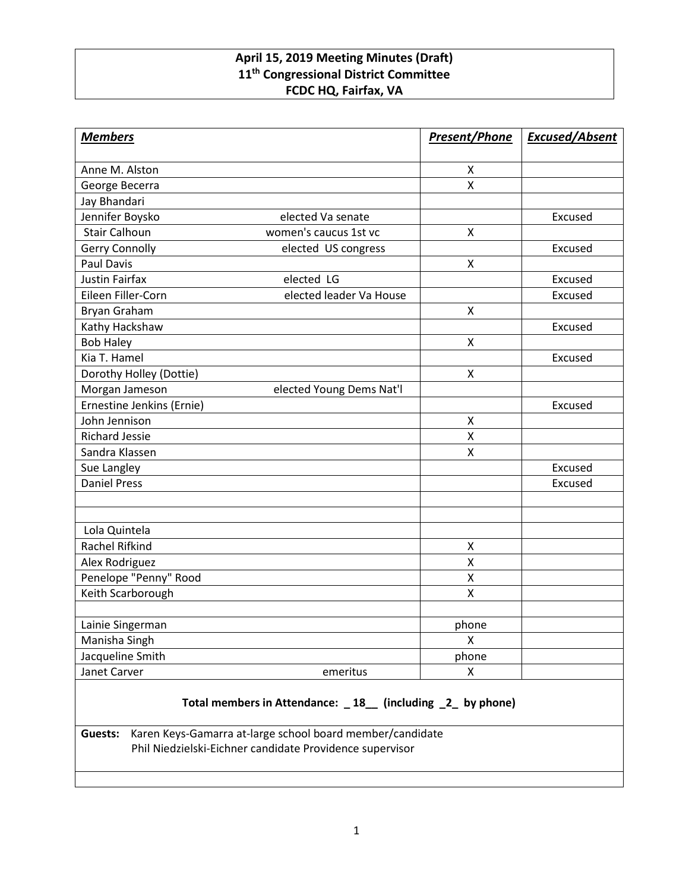## **April 15, 2019 Meeting Minutes (Draft) 11th Congressional District Committee FCDC HQ, Fairfax, VA**

| <b>Members</b>                          |                          | <b>Present/Phone</b>    | <b>Excused/Absent</b> |
|-----------------------------------------|--------------------------|-------------------------|-----------------------|
| Anne M. Alston                          |                          |                         |                       |
|                                         |                          | X<br>$\pmb{\mathsf{X}}$ |                       |
| George Becerra                          |                          |                         |                       |
| Jay Bhandari                            | elected Va senate        |                         | Excused               |
| Jennifer Boysko<br><b>Stair Calhoun</b> | women's caucus 1st vc    | X                       |                       |
| <b>Gerry Connolly</b>                   |                          |                         | Excused               |
| <b>Paul Davis</b>                       | elected US congress      | X                       |                       |
| <b>Justin Fairfax</b>                   | elected LG               |                         | Excused               |
| Eileen Filler-Corn                      | elected leader Va House  |                         | Excused               |
| <b>Bryan Graham</b>                     |                          | $\mathsf{x}$            |                       |
| Kathy Hackshaw                          |                          |                         | Excused               |
| <b>Bob Haley</b>                        |                          | X                       |                       |
| Kia T. Hamel                            |                          |                         | Excused               |
| Dorothy Holley (Dottie)                 |                          | X                       |                       |
| Morgan Jameson                          | elected Young Dems Nat'l |                         |                       |
| Ernestine Jenkins (Ernie)               |                          |                         | Excused               |
| John Jennison                           |                          | X                       |                       |
| <b>Richard Jessie</b>                   |                          | X                       |                       |
| Sandra Klassen                          |                          | X                       |                       |
| Sue Langley                             |                          |                         | Excused               |
| <b>Daniel Press</b>                     |                          |                         | Excused               |
|                                         |                          |                         |                       |
|                                         |                          |                         |                       |
| Lola Quintela                           |                          |                         |                       |
| <b>Rachel Rifkind</b>                   |                          | X                       |                       |
| Alex Rodriguez                          |                          | $\pmb{\mathsf{X}}$      |                       |
| Penelope "Penny" Rood                   |                          | X                       |                       |
| Keith Scarborough                       |                          | Χ                       |                       |
|                                         |                          |                         |                       |
| Lainie Singerman                        |                          | phone                   |                       |
| Manisha Singh                           |                          | X                       |                       |
| Jacqueline Smith                        |                          | phone                   |                       |
| Janet Carver                            | emeritus                 | X                       |                       |

## **Total members in Attendance: \_ 18\_\_ (including \_2\_ by phone)**

**Guests:** Karen Keys-Gamarra at-large school board member/candidate Phil Niedzielski-Eichner candidate Providence supervisor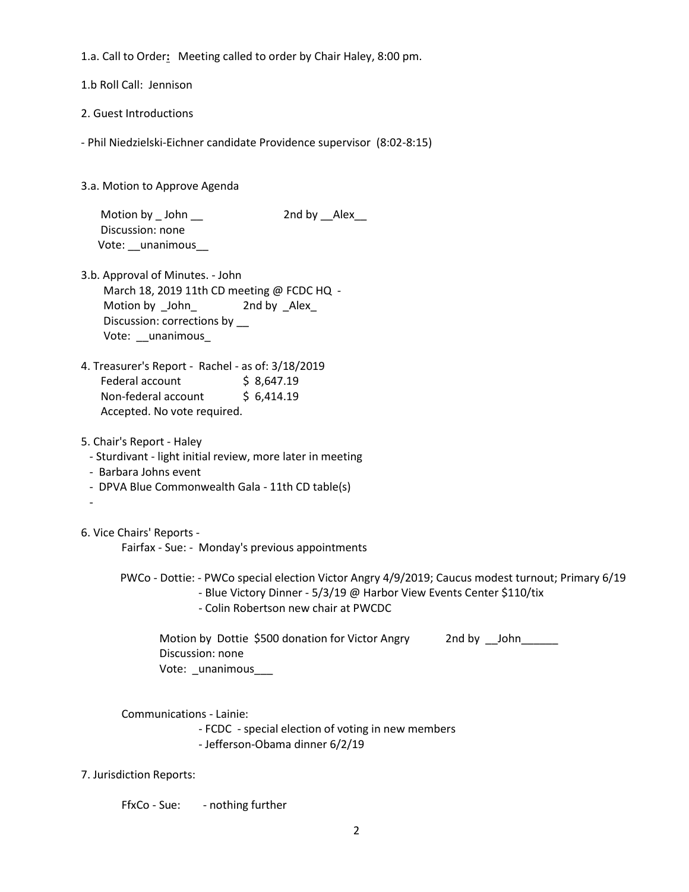1.a. Call to Order**:** Meeting called to order by Chair Haley, 8:00 pm.

1.b Roll Call: Jennison

2. Guest Introductions

- Phil Niedzielski-Eichner candidate Providence supervisor (8:02-8:15)

3.a. Motion to Approve Agenda

Motion by \_John \_\_ 2nd by \_\_Alex\_\_ Discussion: none Vote: \_\_unanimous

- 3.b. Approval of Minutes. John March 18, 2019 11th CD meeting @ FCDC HQ -Motion by John 2nd by Alex Discussion: corrections by \_\_ Vote: unanimous
- 4. Treasurer's Report Rachel as of: 3/18/2019 Federal account \$8,647.19 Non-federal account \$ 6,414.19 Accepted. No vote required.
- 5. Chair's Report Haley

- Sturdivant - light initial review, more later in meeting

- Barbara Johns event
- DPVA Blue Commonwealth Gala 11th CD table(s)

6. Vice Chairs' Reports -

-

Fairfax - Sue: - Monday's previous appointments

 PWCo - Dottie: - PWCo special election Victor Angry 4/9/2019; Caucus modest turnout; Primary 6/19 - Blue Victory Dinner - 5/3/19 @ Harbor View Events Center \$110/tix

- Colin Robertson new chair at PWCDC

Motion by Dottie \$500 donation for Victor Angry 2nd by John Discussion: none Vote: unanimous

Communications - Lainie:

- FCDC - special election of voting in new members

- Jefferson-Obama dinner 6/2/19

7. Jurisdiction Reports:

FfxCo - Sue: - nothing further